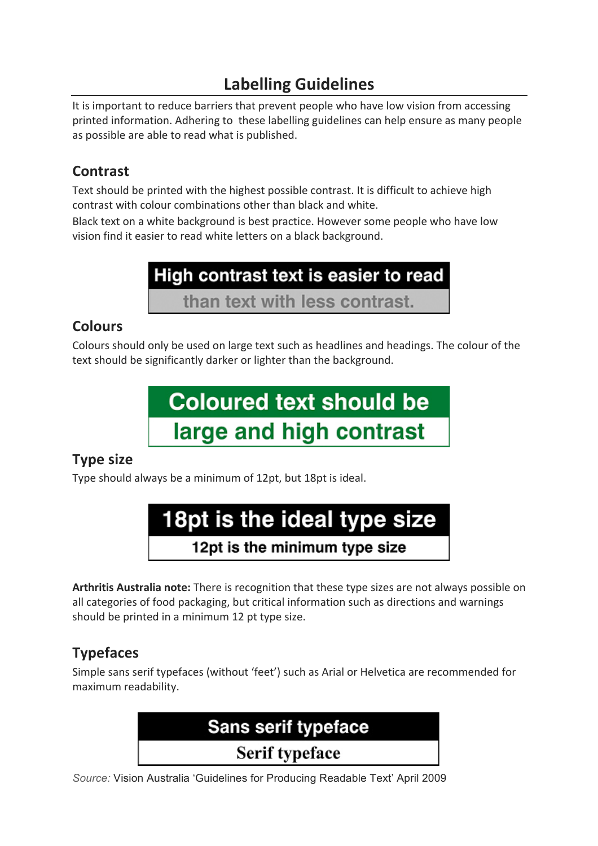## **Labelling Guidelines**

It is important to reduce barriers that prevent people who have low vision from accessing printed information. Adhering to these labelling guidelines can help ensure as many people as possible are able to read what is published.

## **Contrast**

Text should be printed with the highest possible contrast. It is difficult to achieve high contrast with colour combinations other than black and white.

Black text on a white background is best practice. However some people who have low vision find it easier to read white letters on a black background.



## **Colours**

Colours should only be used on large text such as headlines and headings. The colour of the text should be significantly darker or lighter than the background.



## **Type size**

Type should always be a minimum of 12pt, but 18pt is ideal.



Arthritis Australia note: There is recognition that these type sizes are not always possible on all categories of food packaging, but critical information such as directions and warnings should be printed in a minimum 12 pt type size.

## **Typefaces**

 

Simple sans serif typefaces (without 'feet') such as Arial or Helvetica are recommended for maximum readability.

# Sans serif typeface **Serif typeface**

*Source:* Vision Australia 'Guidelines for Producing Readable Text' April 2009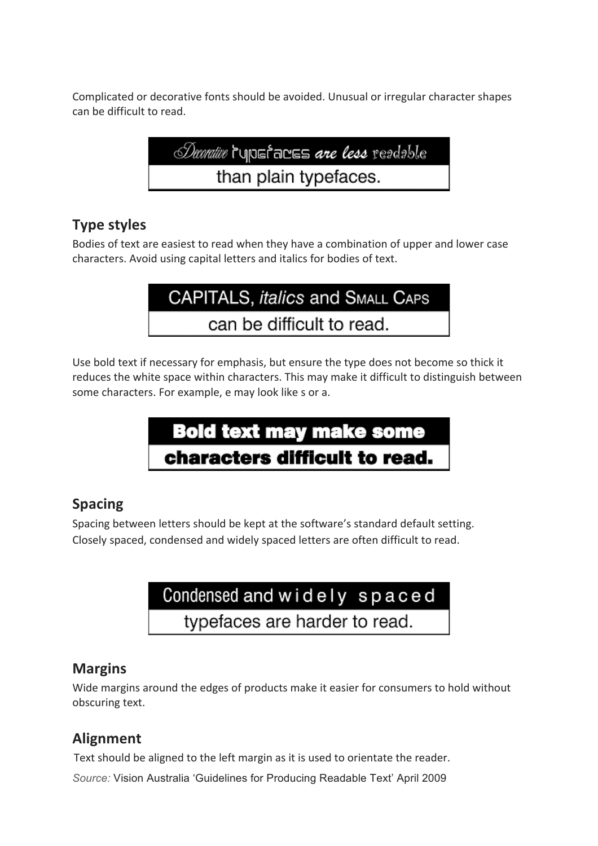Complicated or decorative fonts should be avoided. Unusual or irregular character shapes can be difficult to read.

*Decrative* ruposincus are less readable than plain typefaces.

#### **Type styles**

Bodies of text are easiest to read when they have a combination of upper and lower case characters. Avoid using capital letters and italics for bodies of text.

CAPITALS, italics and SMALL CAPS can be difficult to read.

Use bold text if necessary for emphasis, but ensure the type does not become so thick it reduces the white space within characters. This may make it difficult to distinguish between some characters. For example, e may look like s or a.



#### **Spacing**

Spacing between letters should be kept at the software's standard default setting. Closely spaced, condensed and widely spaced letters are often difficult to read.

# Condensed and widely spaced

typefaces are harder to read.

#### **Margins**

Wide margins around the edges of products make it easier for consumers to hold without obscuring text.

### **Alignment**

Text should be aligned to the left margin as it is used to orientate the reader.

*Source:* Vision Australia 'Guidelines for Producing Readable Text' April 2009